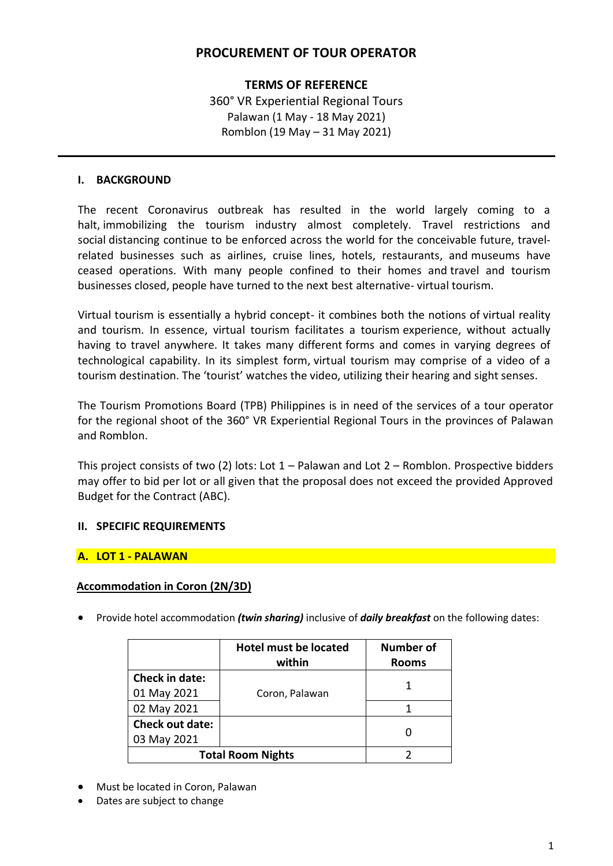# **PROCUREMENT OF TOUR OPERATOR**

## **TERMS OF REFERENCE**

360° VR Experiential Regional Tours Palawan (1 May - 18 May 2021) Romblon (19 May – 31 May 2021)

### **I. BACKGROUND**

The recent Coronavirus outbreak has resulted in the world largely coming to a halt, immobilizing the tourism industry almost completely. Travel restrictions and social distancing continue to be enforced across the world for the conceivable future, travelrelated businesses such as airlines, cruise lines, hotels, restaurants, and museums have ceased operations. With many people confined to their homes and travel and tourism businesses closed, people have turned to the next best alternative- virtual tourism.

Virtual tourism is essentially a hybrid concept- it combines both the notions of virtual reality and tourism. In essence, virtual tourism facilitates a tourism experience, without actually having to travel anywhere. It takes many different forms and comes in varying degrees of technological capability. In its simplest form, virtual tourism may comprise of a video of a tourism destination. The 'tourist' watches the video, utilizing their hearing and sight senses.

The Tourism Promotions Board (TPB) Philippines is in need of the services of a tour operator for the regional shoot of the 360° VR Experiential Regional Tours in the provinces of Palawan and Romblon.

This project consists of two (2) lots: Lot  $1$  – Palawan and Lot  $2$  – Romblon. Prospective bidders may offer to bid per lot or all given that the proposal does not exceed the provided Approved Budget for the Contract (ABC).

### **II. SPECIFIC REQUIREMENTS**

### **A. LOT 1 - PALAWAN**

### **Accommodation in Coron (2N/3D)**

Provide hotel accommodation *(twin sharing)* inclusive of *daily breakfast* on the following dates:

|                          | <b>Hotel must be located</b><br>within | <b>Number of</b><br><b>Rooms</b> |
|--------------------------|----------------------------------------|----------------------------------|
| <b>Check in date:</b>    |                                        |                                  |
| 01 May 2021              | Coron, Palawan                         |                                  |
| 02 May 2021              |                                        |                                  |
| <b>Check out date:</b>   |                                        |                                  |
| 03 May 2021              |                                        |                                  |
| <b>Total Room Nights</b> |                                        |                                  |

- Must be located in Coron, Palawan
- Dates are subject to change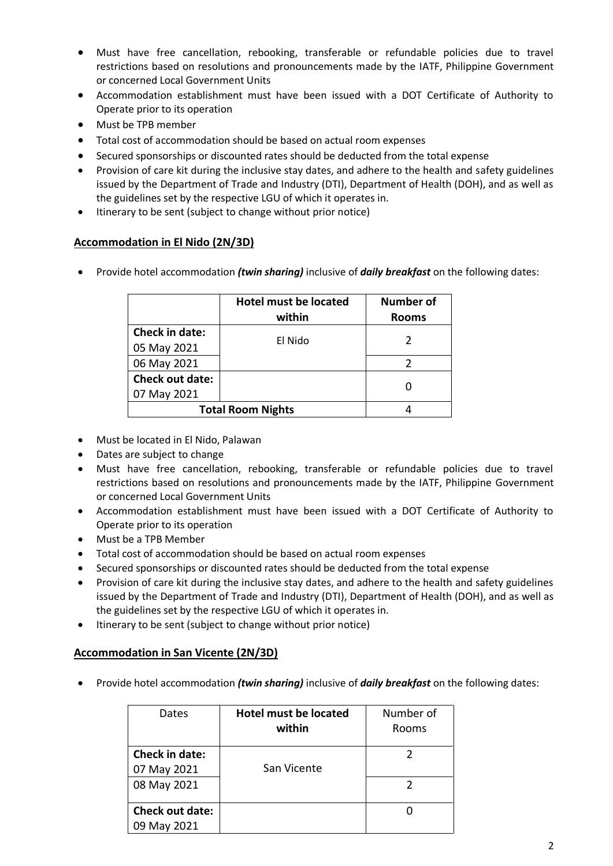- Must have free cancellation, rebooking, transferable or refundable policies due to travel restrictions based on resolutions and pronouncements made by the IATF, Philippine Government or concerned Local Government Units
- Accommodation establishment must have been issued with a DOT Certificate of Authority to Operate prior to its operation
- Must be TPB member
- Total cost of accommodation should be based on actual room expenses
- Secured sponsorships or discounted rates should be deducted from the total expense
- Provision of care kit during the inclusive stay dates, and adhere to the health and safety guidelines issued by the Department of Trade and Industry (DTI), Department of Health (DOH), and as well as the guidelines set by the respective LGU of which it operates in.
- Itinerary to be sent (subject to change without prior notice)

## **Accommodation in El Nido (2N/3D)**

Provide hotel accommodation *(twin sharing)* inclusive of *daily breakfast* on the following dates:

|                                       | <b>Hotel must be located</b><br>within | <b>Number of</b><br><b>Rooms</b> |
|---------------------------------------|----------------------------------------|----------------------------------|
| <b>Check in date:</b><br>05 May 2021  | El Nido                                |                                  |
| 06 May 2021                           |                                        |                                  |
| <b>Check out date:</b><br>07 May 2021 |                                        |                                  |
| <b>Total Room Nights</b>              |                                        |                                  |

- Must be located in El Nido, Palawan
- Dates are subject to change
- Must have free cancellation, rebooking, transferable or refundable policies due to travel restrictions based on resolutions and pronouncements made by the IATF, Philippine Government or concerned Local Government Units
- Accommodation establishment must have been issued with a DOT Certificate of Authority to Operate prior to its operation
- Must be a TPB Member
- Total cost of accommodation should be based on actual room expenses
- Secured sponsorships or discounted rates should be deducted from the total expense
- Provision of care kit during the inclusive stay dates, and adhere to the health and safety guidelines issued by the Department of Trade and Industry (DTI), Department of Health (DOH), and as well as the guidelines set by the respective LGU of which it operates in.
- Itinerary to be sent (subject to change without prior notice)

## **Accommodation in San Vicente (2N/3D)**

Provide hotel accommodation *(twin sharing)* inclusive of *daily breakfast* on the following dates:

| Dates                  | <b>Hotel must be located</b><br>within | Number of<br>Rooms |
|------------------------|----------------------------------------|--------------------|
| <b>Check in date:</b>  |                                        |                    |
| 07 May 2021            | San Vicente                            |                    |
| 08 May 2021            |                                        |                    |
| <b>Check out date:</b> |                                        |                    |
| 09 May 2021            |                                        |                    |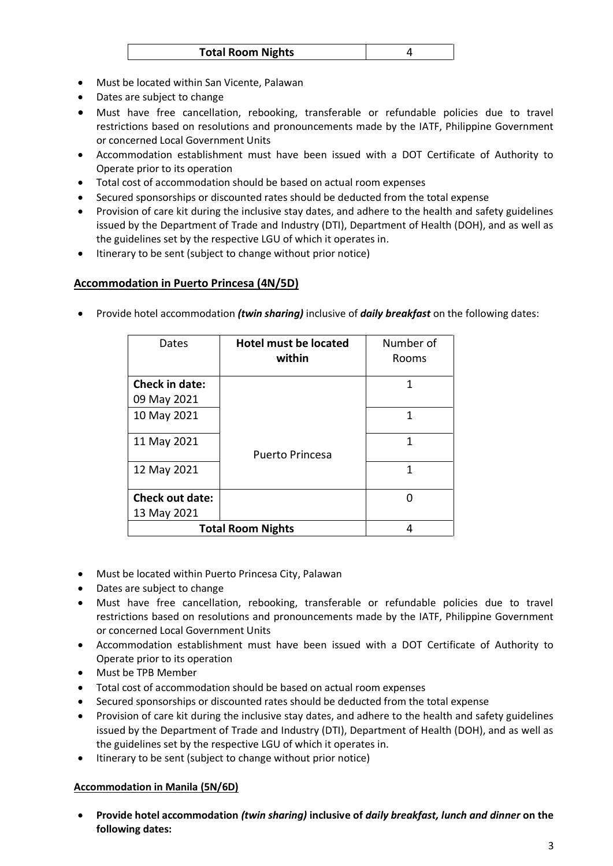| <b>Total Room Nights</b> |  |
|--------------------------|--|
|--------------------------|--|

- Must be located within San Vicente, Palawan
- Dates are subject to change
- Must have free cancellation, rebooking, transferable or refundable policies due to travel restrictions based on resolutions and pronouncements made by the IATF, Philippine Government or concerned Local Government Units
- Accommodation establishment must have been issued with a DOT Certificate of Authority to Operate prior to its operation
- Total cost of accommodation should be based on actual room expenses
- Secured sponsorships or discounted rates should be deducted from the total expense
- Provision of care kit during the inclusive stay dates, and adhere to the health and safety guidelines issued by the Department of Trade and Industry (DTI), Department of Health (DOH), and as well as the guidelines set by the respective LGU of which it operates in.
- Itinerary to be sent (subject to change without prior notice)

## **Accommodation in Puerto Princesa (4N/5D)**

Provide hotel accommodation *(twin sharing)* inclusive of *daily breakfast* on the following dates:

| Dates                         | <b>Hotel must be located</b><br>within | Number of<br>Rooms |
|-------------------------------|----------------------------------------|--------------------|
| <b>Check in date:</b>         |                                        | 1                  |
| 09 May 2021                   |                                        |                    |
| 10 May 2021                   |                                        | 1                  |
| 11 May 2021                   | <b>Puerto Princesa</b>                 | 1                  |
| 12 May 2021                   |                                        | 1                  |
| <b>Check out date:</b>        |                                        | ŋ                  |
| 13 May 2021                   |                                        |                    |
| <b>Total Room Nights</b><br>4 |                                        |                    |

- Must be located within Puerto Princesa City, Palawan
- Dates are subject to change
- Must have free cancellation, rebooking, transferable or refundable policies due to travel restrictions based on resolutions and pronouncements made by the IATF, Philippine Government or concerned Local Government Units
- Accommodation establishment must have been issued with a DOT Certificate of Authority to Operate prior to its operation
- Must be TPB Member
- Total cost of accommodation should be based on actual room expenses
- Secured sponsorships or discounted rates should be deducted from the total expense
- Provision of care kit during the inclusive stay dates, and adhere to the health and safety guidelines issued by the Department of Trade and Industry (DTI), Department of Health (DOH), and as well as the guidelines set by the respective LGU of which it operates in.
- Itinerary to be sent (subject to change without prior notice)

### **Accommodation in Manila (5N/6D)**

 **Provide hotel accommodation** *(twin sharing)* **inclusive of** *daily breakfast, lunch and dinner* **on the following dates:**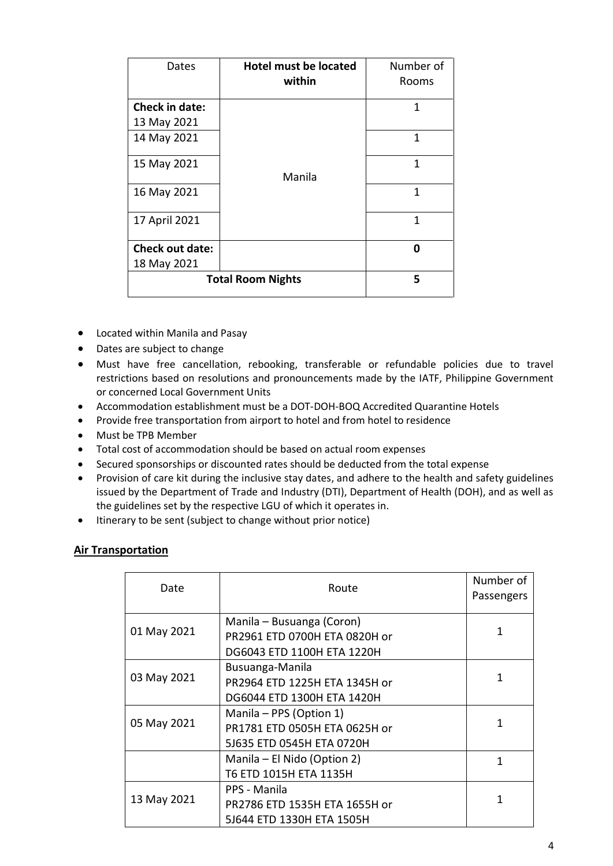| Dates                         | <b>Hotel must be located</b><br>within | Number of<br>Rooms |
|-------------------------------|----------------------------------------|--------------------|
| Check in date:<br>13 May 2021 |                                        | 1                  |
| 14 May 2021                   | Manila                                 | 1                  |
| 15 May 2021                   |                                        | 1                  |
| 16 May 2021                   |                                        | 1                  |
| 17 April 2021                 |                                        | 1                  |
| <b>Check out date:</b>        |                                        | 0                  |
| 18 May 2021                   |                                        |                    |
|                               | <b>Total Room Nights</b>               | 5                  |

- Located within Manila and Pasay
- Dates are subject to change
- Must have free cancellation, rebooking, transferable or refundable policies due to travel restrictions based on resolutions and pronouncements made by the IATF, Philippine Government or concerned Local Government Units
- Accommodation establishment must be a DOT-DOH-BOQ Accredited Quarantine Hotels
- Provide free transportation from airport to hotel and from hotel to residence
- Must be TPB Member
- Total cost of accommodation should be based on actual room expenses
- Secured sponsorships or discounted rates should be deducted from the total expense
- Provision of care kit during the inclusive stay dates, and adhere to the health and safety guidelines issued by the Department of Trade and Industry (DTI), Department of Health (DOH), and as well as the guidelines set by the respective LGU of which it operates in.
- Itinerary to be sent (subject to change without prior notice)

### **Air Transportation**

| Date        | Route                                                                                    | Number of<br>Passengers |
|-------------|------------------------------------------------------------------------------------------|-------------------------|
| 01 May 2021 | Manila – Busuanga (Coron)<br>PR2961 ETD 0700H ETA 0820H or<br>DG6043 ETD 1100H ETA 1220H | 1                       |
| 03 May 2021 | Busuanga-Manila<br>PR2964 ETD 1225H ETA 1345H or<br>DG6044 ETD 1300H ETA 1420H           | 1                       |
| 05 May 2021 | Manila - PPS (Option 1)<br>PR1781 ETD 0505H ETA 0625H or<br>5J635 ETD 0545H ETA 0720H    | 1                       |
|             | Manila – El Nido (Option 2)<br>T6 ETD 1015H ETA 1135H                                    | 1                       |
| 13 May 2021 | PPS - Manila<br>PR2786 ETD 1535H ETA 1655H or<br>5J644 ETD 1330H ETA 1505H               | 1                       |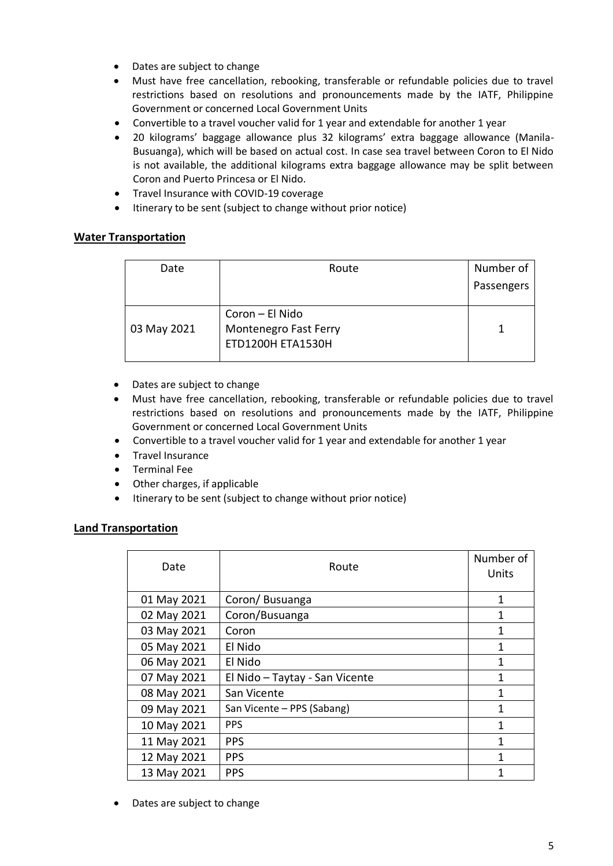- Dates are subject to change
- Must have free cancellation, rebooking, transferable or refundable policies due to travel restrictions based on resolutions and pronouncements made by the IATF, Philippine Government or concerned Local Government Units
- Convertible to a travel voucher valid for 1 year and extendable for another 1 year
- 20 kilograms' baggage allowance plus 32 kilograms' extra baggage allowance (Manila-Busuanga), which will be based on actual cost. In case sea travel between Coron to El Nido is not available, the additional kilograms extra baggage allowance may be split between Coron and Puerto Princesa or El Nido.
- Travel Insurance with COVID-19 coverage
- Itinerary to be sent (subject to change without prior notice)

## **Water Transportation**

| Date        | Route                                                                | Number of  |
|-------------|----------------------------------------------------------------------|------------|
|             |                                                                      | Passengers |
| 03 May 2021 | Coron - El Nido<br>Montenegro Fast Ferry<br><b>ETD1200H ETA1530H</b> |            |

- Dates are subject to change
- Must have free cancellation, rebooking, transferable or refundable policies due to travel restrictions based on resolutions and pronouncements made by the IATF, Philippine Government or concerned Local Government Units
- Convertible to a travel voucher valid for 1 year and extendable for another 1 year
- Travel Insurance
- Terminal Fee
- Other charges, if applicable
- $\bullet$  Itinerary to be sent (subject to change without prior notice)

### **Land Transportation**

| Date        | Route                          | Number of<br>Units |
|-------------|--------------------------------|--------------------|
| 01 May 2021 | Coron/Busuanga                 | 1                  |
| 02 May 2021 | Coron/Busuanga                 | 1                  |
| 03 May 2021 | Coron                          | 1                  |
| 05 May 2021 | El Nido                        | 1                  |
| 06 May 2021 | El Nido                        | 1                  |
| 07 May 2021 | El Nido - Taytay - San Vicente | 1                  |
| 08 May 2021 | San Vicente                    | 1                  |
| 09 May 2021 | San Vicente - PPS (Sabang)     | 1                  |
| 10 May 2021 | <b>PPS</b>                     | 1                  |
| 11 May 2021 | <b>PPS</b>                     | 1                  |
| 12 May 2021 | <b>PPS</b>                     | 1                  |
| 13 May 2021 | <b>PPS</b>                     | 1                  |

Dates are subject to change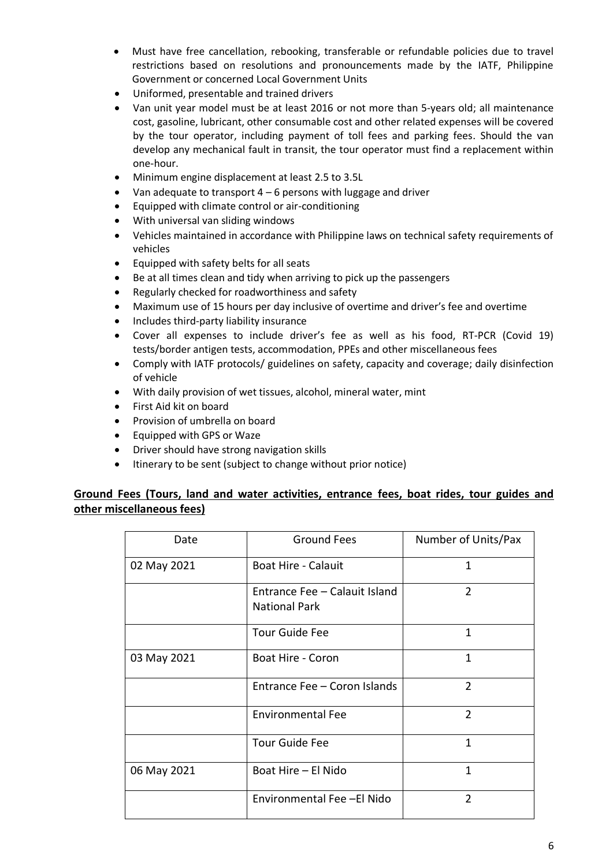- Must have free cancellation, rebooking, transferable or refundable policies due to travel restrictions based on resolutions and pronouncements made by the IATF, Philippine Government or concerned Local Government Units
- Uniformed, presentable and trained drivers
- Van unit year model must be at least 2016 or not more than 5-years old; all maintenance cost, gasoline, lubricant, other consumable cost and other related expenses will be covered by the tour operator, including payment of toll fees and parking fees. Should the van develop any mechanical fault in transit, the tour operator must find a replacement within one-hour.
- Minimum engine displacement at least 2.5 to 3.5L
- Van adequate to transport 4 6 persons with luggage and driver
- Equipped with climate control or air-conditioning
- With universal van sliding windows
- Vehicles maintained in accordance with Philippine laws on technical safety requirements of vehicles
- Equipped with safety belts for all seats
- Be at all times clean and tidy when arriving to pick up the passengers
- Regularly checked for roadworthiness and safety
- Maximum use of 15 hours per day inclusive of overtime and driver's fee and overtime
- Includes third-party liability insurance
- Cover all expenses to include driver's fee as well as his food, RT-PCR (Covid 19) tests/border antigen tests, accommodation, PPEs and other miscellaneous fees
- Comply with IATF protocols/ guidelines on safety, capacity and coverage; daily disinfection of vehicle
- With daily provision of wet tissues, alcohol, mineral water, mint
- First Aid kit on board
- Provision of umbrella on board
- Equipped with GPS or Waze
- Driver should have strong navigation skills
- Itinerary to be sent (subject to change without prior notice)

## **Ground Fees (Tours, land and water activities, entrance fees, boat rides, tour guides and other miscellaneous fees)**

| Date        | <b>Ground Fees</b>                                    | Number of Units/Pax |
|-------------|-------------------------------------------------------|---------------------|
| 02 May 2021 | <b>Boat Hire - Calauit</b>                            | $\mathbf{1}$        |
|             | Entrance Fee - Calauit Island<br><b>National Park</b> | $\overline{2}$      |
|             | <b>Tour Guide Fee</b>                                 | 1                   |
| 03 May 2021 | Boat Hire - Coron                                     | $\mathbf{1}$        |
|             | Entrance Fee - Coron Islands                          | $\mathcal{P}$       |
|             | <b>Environmental Fee</b>                              | $\overline{2}$      |
|             | <b>Tour Guide Fee</b>                                 | 1                   |
| 06 May 2021 | Boat Hire - El Nido                                   | $\mathbf{1}$        |
|             | Environmental Fee -El Nido                            | $\mathcal{P}$       |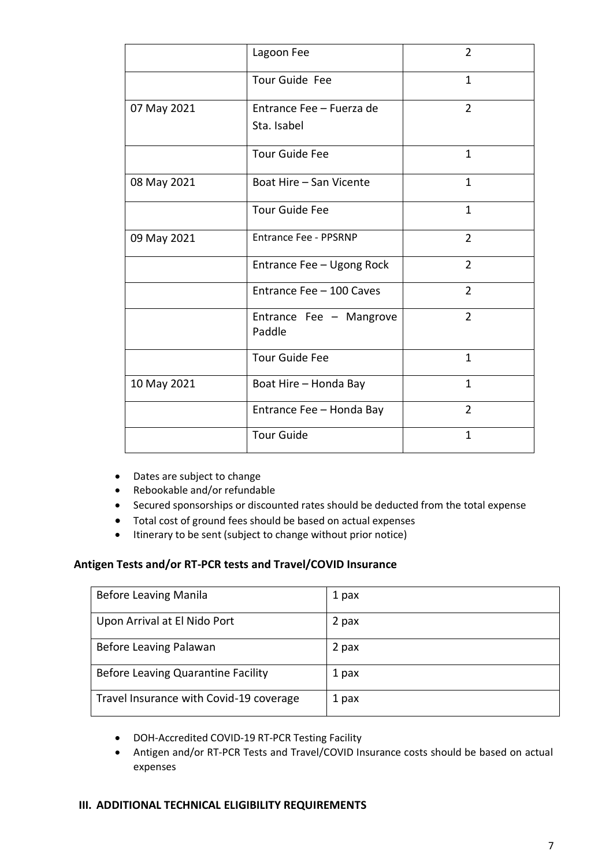|             | Lagoon Fee                        | 2              |
|-------------|-----------------------------------|----------------|
|             | Tour Guide Fee                    | $\mathbf{1}$   |
| 07 May 2021 | Entrance Fee - Fuerza de          | $\overline{2}$ |
|             | Sta. Isabel                       |                |
|             | <b>Tour Guide Fee</b>             | $\mathbf{1}$   |
| 08 May 2021 | Boat Hire - San Vicente           | $\mathbf{1}$   |
|             | <b>Tour Guide Fee</b>             | 1              |
| 09 May 2021 | <b>Entrance Fee - PPSRNP</b>      | $\overline{2}$ |
|             | Entrance Fee - Ugong Rock         | $\overline{2}$ |
|             | Entrance Fee - 100 Caves          | $\overline{2}$ |
|             | Entrance Fee - Mangrove<br>Paddle | $\overline{2}$ |
|             | <b>Tour Guide Fee</b>             | $\mathbf{1}$   |
| 10 May 2021 | Boat Hire - Honda Bay             | $\mathbf{1}$   |
|             | Entrance Fee - Honda Bay          | $\overline{2}$ |
|             | <b>Tour Guide</b>                 | $\mathbf{1}$   |

- Dates are subject to change
- Rebookable and/or refundable
- Secured sponsorships or discounted rates should be deducted from the total expense
- Total cost of ground fees should be based on actual expenses
- Itinerary to be sent (subject to change without prior notice)

### **Antigen Tests and/or RT-PCR tests and Travel/COVID Insurance**

| <b>Before Leaving Manila</b>            | 1 pax |
|-----------------------------------------|-------|
| Upon Arrival at El Nido Port            | 2 pax |
| Before Leaving Palawan                  | 2 pax |
| Before Leaving Quarantine Facility      | 1 pax |
| Travel Insurance with Covid-19 coverage | 1 pax |

- DOH-Accredited COVID-19 RT-PCR Testing Facility
- Antigen and/or RT-PCR Tests and Travel/COVID Insurance costs should be based on actual expenses

### **III. ADDITIONAL TECHNICAL ELIGIBILITY REQUIREMENTS**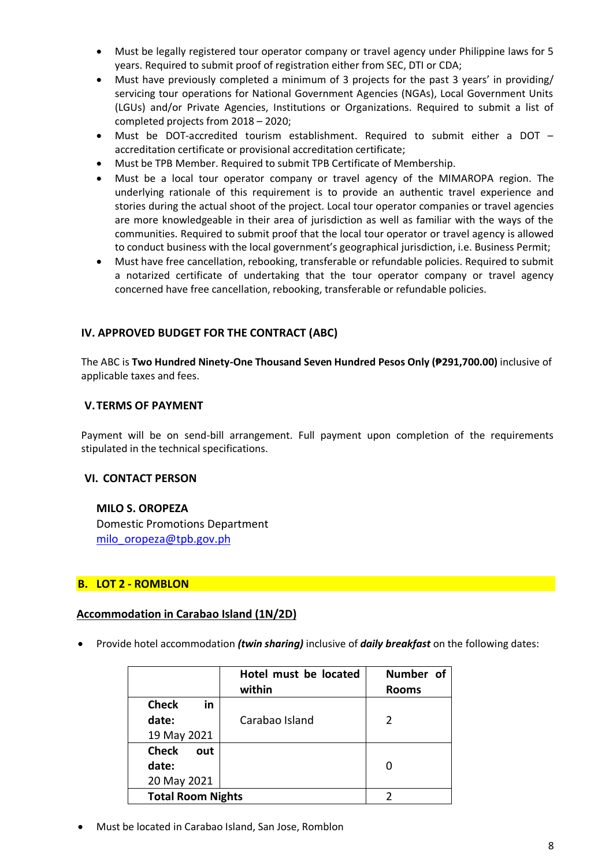- Must be legally registered tour operator company or travel agency under Philippine laws for 5 years. Required to submit proof of registration either from SEC, DTI or CDA;
- Must have previously completed a minimum of 3 projects for the past 3 years' in providing/ servicing tour operations for National Government Agencies (NGAs), Local Government Units (LGUs) and/or Private Agencies, Institutions or Organizations. Required to submit a list of completed projects from 2018 – 2020;
- Must be DOT-accredited tourism establishment. Required to submit either a DOT accreditation certificate or provisional accreditation certificate;
- Must be TPB Member. Required to submit TPB Certificate of Membership.
- Must be a local tour operator company or travel agency of the MIMAROPA region. The underlying rationale of this requirement is to provide an authentic travel experience and stories during the actual shoot of the project. Local tour operator companies or travel agencies are more knowledgeable in their area of jurisdiction as well as familiar with the ways of the communities. Required to submit proof that the local tour operator or travel agency is allowed to conduct business with the local government's geographical jurisdiction, i.e. Business Permit;
- Must have free cancellation, rebooking, transferable or refundable policies. Required to submit a notarized certificate of undertaking that the tour operator company or travel agency concerned have free cancellation, rebooking, transferable or refundable policies.

## **IV. APPROVED BUDGET FOR THE CONTRACT (ABC)**

The ABC is **Two Hundred Ninety-One Thousand Seven Hundred Pesos Only (₱291,700.00)** inclusive of applicable taxes and fees.

### **V.TERMS OF PAYMENT**

Payment will be on send-bill arrangement. Full payment upon completion of the requirements stipulated in the technical specifications.

### **VI. CONTACT PERSON**

#### **MILO S. OROPEZA**

Domestic Promotions Department [milo\\_oropeza@tpb.gov.ph](mailto:milo_oropeza@tpb.gov.ph)

### **B. LOT 2 - ROMBLON**

#### **Accommodation in Carabao Island (1N/2D)**

Provide hotel accommodation *(twin sharing)* inclusive of *daily breakfast* on the following dates:

|                                             | Hotel must be located<br>within | Number of<br><b>Rooms</b> |
|---------------------------------------------|---------------------------------|---------------------------|
| <b>Check</b><br>in<br>date:                 | Carabao Island                  |                           |
| 19 May 2021<br><b>Check</b><br>out<br>date: |                                 |                           |
| 20 May 2021<br><b>Total Room Nights</b>     |                                 |                           |

Must be located in Carabao Island, San Jose, Romblon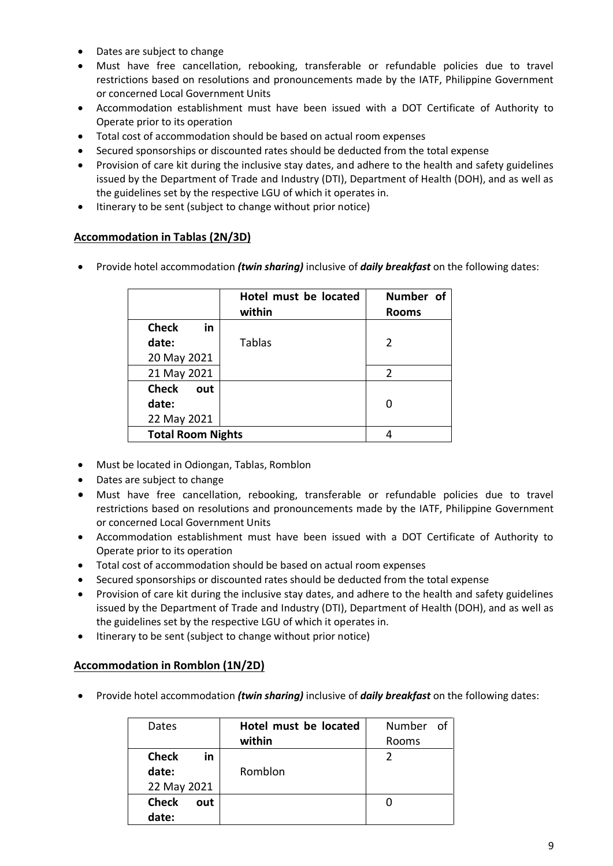- Dates are subject to change
- Must have free cancellation, rebooking, transferable or refundable policies due to travel restrictions based on resolutions and pronouncements made by the IATF, Philippine Government or concerned Local Government Units
- Accommodation establishment must have been issued with a DOT Certificate of Authority to Operate prior to its operation
- Total cost of accommodation should be based on actual room expenses
- Secured sponsorships or discounted rates should be deducted from the total expense
- Provision of care kit during the inclusive stay dates, and adhere to the health and safety guidelines issued by the Department of Trade and Industry (DTI), Department of Health (DOH), and as well as the guidelines set by the respective LGU of which it operates in.
- Itinerary to be sent (subject to change without prior notice)

## **Accommodation in Tablas (2N/3D)**

Provide hotel accommodation *(twin sharing)* inclusive of *daily breakfast* on the following dates:

|                          | Hotel must be located<br>within | Number of<br><b>Rooms</b> |
|--------------------------|---------------------------------|---------------------------|
| <b>Check</b><br>in       |                                 |                           |
| date:                    | <b>Tablas</b>                   | 2                         |
| 20 May 2021              |                                 |                           |
| 21 May 2021              |                                 | $\mathcal{P}$             |
| <b>Check</b><br>out      |                                 |                           |
| date:                    |                                 |                           |
| 22 May 2021              |                                 |                           |
| <b>Total Room Nights</b> |                                 |                           |

- Must be located in Odiongan, Tablas, Romblon
- Dates are subject to change
- Must have free cancellation, rebooking, transferable or refundable policies due to travel restrictions based on resolutions and pronouncements made by the IATF, Philippine Government or concerned Local Government Units
- Accommodation establishment must have been issued with a DOT Certificate of Authority to Operate prior to its operation
- Total cost of accommodation should be based on actual room expenses
- Secured sponsorships or discounted rates should be deducted from the total expense
- Provision of care kit during the inclusive stay dates, and adhere to the health and safety guidelines issued by the Department of Trade and Industry (DTI), Department of Health (DOH), and as well as the guidelines set by the respective LGU of which it operates in.
- Itinerary to be sent (subject to change without prior notice)

## **Accommodation in Romblon (1N/2D)**

Provide hotel accommodation *(twin sharing)* inclusive of *daily breakfast* on the following dates:

| Dates               | Hotel must be located | Number of |
|---------------------|-----------------------|-----------|
|                     | within                | Rooms     |
| <b>Check</b><br>in  |                       |           |
| date:               | Romblon               |           |
| 22 May 2021         |                       |           |
| <b>Check</b><br>out |                       |           |
| date:               |                       |           |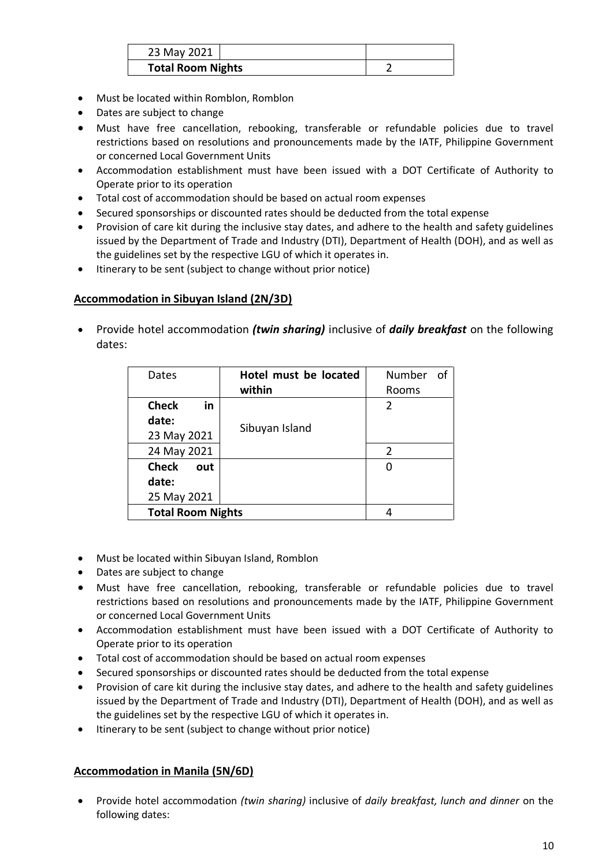| 23 May 2021              |  |  |
|--------------------------|--|--|
| <b>Total Room Nights</b> |  |  |

- Must be located within Romblon, Romblon
- Dates are subject to change
- Must have free cancellation, rebooking, transferable or refundable policies due to travel restrictions based on resolutions and pronouncements made by the IATF, Philippine Government or concerned Local Government Units
- Accommodation establishment must have been issued with a DOT Certificate of Authority to Operate prior to its operation
- Total cost of accommodation should be based on actual room expenses
- Secured sponsorships or discounted rates should be deducted from the total expense
- Provision of care kit during the inclusive stay dates, and adhere to the health and safety guidelines issued by the Department of Trade and Industry (DTI), Department of Health (DOH), and as well as the guidelines set by the respective LGU of which it operates in.
- Itinerary to be sent (subject to change without prior notice)

### **Accommodation in Sibuyan Island (2N/3D)**

 Provide hotel accommodation *(twin sharing)* inclusive of *daily breakfast* on the following dates:

| Dates                    | Hotel must be located | Number<br>of  |
|--------------------------|-----------------------|---------------|
|                          | within                | Rooms         |
| in<br><b>Check</b>       |                       | $\mathcal{P}$ |
| date:                    |                       |               |
| 23 May 2021              | Sibuyan Island        |               |
| 24 May 2021              |                       | $\mathcal{P}$ |
| <b>Check</b><br>out      |                       |               |
| date:                    |                       |               |
| 25 May 2021              |                       |               |
| <b>Total Room Nights</b> |                       |               |

- Must be located within Sibuyan Island, Romblon
- Dates are subject to change
- Must have free cancellation, rebooking, transferable or refundable policies due to travel restrictions based on resolutions and pronouncements made by the IATF, Philippine Government or concerned Local Government Units
- Accommodation establishment must have been issued with a DOT Certificate of Authority to Operate prior to its operation
- Total cost of accommodation should be based on actual room expenses
- Secured sponsorships or discounted rates should be deducted from the total expense
- Provision of care kit during the inclusive stay dates, and adhere to the health and safety guidelines issued by the Department of Trade and Industry (DTI), Department of Health (DOH), and as well as the guidelines set by the respective LGU of which it operates in.
- Itinerary to be sent (subject to change without prior notice)

### **Accommodation in Manila (5N/6D)**

 Provide hotel accommodation *(twin sharing)* inclusive of *daily breakfast, lunch and dinner* on the following dates: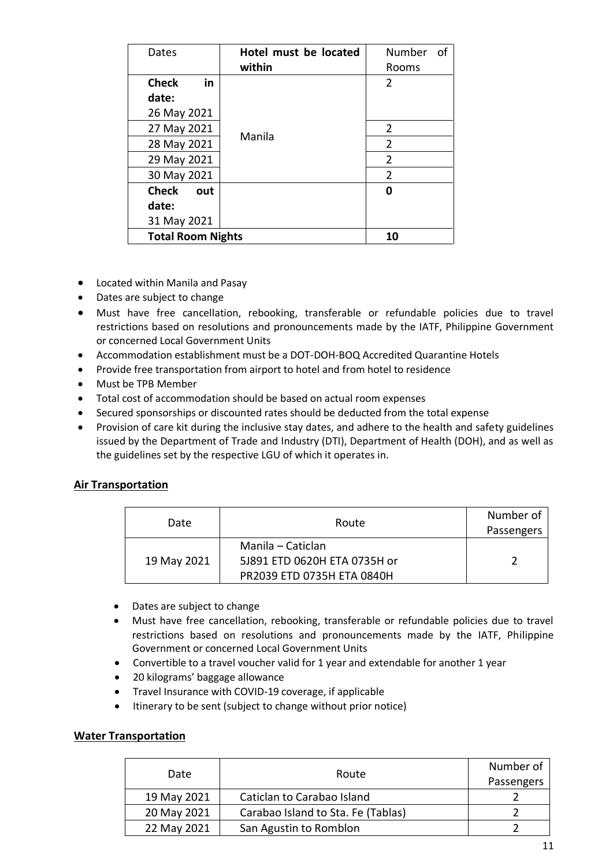| Dates                    | Hotel must be located | $\circ$ f<br>Number |
|--------------------------|-----------------------|---------------------|
|                          | within                | Rooms               |
| <b>Check</b><br>in       |                       | 2                   |
| date:                    |                       |                     |
| 26 May 2021              |                       |                     |
| 27 May 2021              | Manila                | 2                   |
| 28 May 2021              |                       | $\overline{2}$      |
| 29 May 2021              |                       | $\overline{2}$      |
| 30 May 2021              |                       | $\overline{2}$      |
| <b>Check</b><br>out      |                       | ŋ                   |
| date:                    |                       |                     |
| 31 May 2021              |                       |                     |
| <b>Total Room Nights</b> |                       | 10                  |

- Located within Manila and Pasay
- Dates are subject to change
- Must have free cancellation, rebooking, transferable or refundable policies due to travel restrictions based on resolutions and pronouncements made by the IATF, Philippine Government or concerned Local Government Units
- Accommodation establishment must be a DOT-DOH-BOQ Accredited Quarantine Hotels
- Provide free transportation from airport to hotel and from hotel to residence
- Must be TPB Member
- Total cost of accommodation should be based on actual room expenses
- Secured sponsorships or discounted rates should be deducted from the total expense
- Provision of care kit during the inclusive stay dates, and adhere to the health and safety guidelines issued by the Department of Trade and Industry (DTI), Department of Health (DOH), and as well as the guidelines set by the respective LGU of which it operates in.

## **Air Transportation**

| Date        | Route                                                                           | Number of<br>Passengers |
|-------------|---------------------------------------------------------------------------------|-------------------------|
| 19 May 2021 | Manila – Caticlan<br>5J891 ETD 0620H ETA 0735H or<br>PR2039 ETD 0735H ETA 0840H |                         |

- Dates are subject to change
- Must have free cancellation, rebooking, transferable or refundable policies due to travel restrictions based on resolutions and pronouncements made by the IATF, Philippine Government or concerned Local Government Units
- Convertible to a travel voucher valid for 1 year and extendable for another 1 year
- 20 kilograms' baggage allowance
- Travel Insurance with COVID-19 coverage, if applicable
- Itinerary to be sent (subject to change without prior notice)

### **Water Transportation**

| Date        | Route                              | Number of<br>Passengers |
|-------------|------------------------------------|-------------------------|
| 19 May 2021 | Caticlan to Carabao Island         |                         |
| 20 May 2021 | Carabao Island to Sta. Fe (Tablas) |                         |
| 22 May 2021 | San Agustin to Romblon             |                         |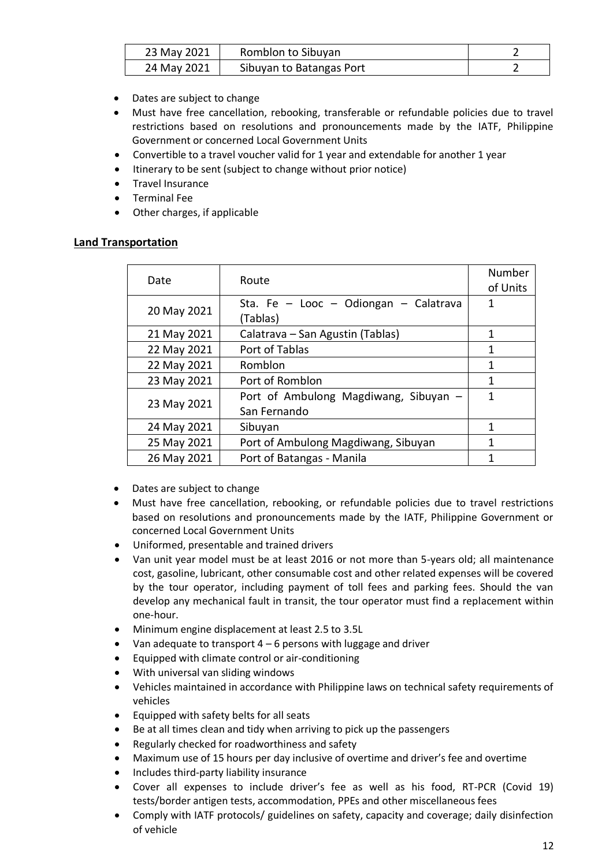| 23 May 2021 | Romblon to Sibuyan       |  |
|-------------|--------------------------|--|
| 24 May 2021 | Sibuyan to Batangas Port |  |

- Dates are subject to change
- Must have free cancellation, rebooking, transferable or refundable policies due to travel restrictions based on resolutions and pronouncements made by the IATF, Philippine Government or concerned Local Government Units
- Convertible to a travel voucher valid for 1 year and extendable for another 1 year
- Itinerary to be sent (subject to change without prior notice)
- Travel Insurance
- Terminal Fee
- Other charges, if applicable

### **Land Transportation**

| Date        | Route                                                 | Number<br>of Units |
|-------------|-------------------------------------------------------|--------------------|
| 20 May 2021 | Sta. Fe - Looc - Odiongan - Calatrava<br>(Tablas)     | 1                  |
| 21 May 2021 | Calatrava - San Agustin (Tablas)                      | 1                  |
| 22 May 2021 | Port of Tablas                                        | 1                  |
| 22 May 2021 | Romblon                                               | 1                  |
| 23 May 2021 | Port of Romblon                                       | 1                  |
| 23 May 2021 | Port of Ambulong Magdiwang, Sibuyan -<br>San Fernando | 1                  |
| 24 May 2021 | Sibuyan                                               | 1                  |
| 25 May 2021 | Port of Ambulong Magdiwang, Sibuyan                   | 1                  |
| 26 May 2021 | Port of Batangas - Manila                             | 1                  |

- Dates are subject to change
- Must have free cancellation, rebooking, or refundable policies due to travel restrictions based on resolutions and pronouncements made by the IATF, Philippine Government or concerned Local Government Units
- Uniformed, presentable and trained drivers
- Van unit year model must be at least 2016 or not more than 5-years old; all maintenance cost, gasoline, lubricant, other consumable cost and other related expenses will be covered by the tour operator, including payment of toll fees and parking fees. Should the van develop any mechanical fault in transit, the tour operator must find a replacement within one-hour.
- Minimum engine displacement at least 2.5 to 3.5L
- Van adequate to transport  $4 6$  persons with luggage and driver
- Equipped with climate control or air-conditioning
- With universal van sliding windows
- Vehicles maintained in accordance with Philippine laws on technical safety requirements of vehicles
- Equipped with safety belts for all seats
- Be at all times clean and tidy when arriving to pick up the passengers
- Regularly checked for roadworthiness and safety
- Maximum use of 15 hours per day inclusive of overtime and driver's fee and overtime
- Includes third-party liability insurance
- Cover all expenses to include driver's fee as well as his food, RT-PCR (Covid 19) tests/border antigen tests, accommodation, PPEs and other miscellaneous fees
- Comply with IATF protocols/ guidelines on safety, capacity and coverage; daily disinfection of vehicle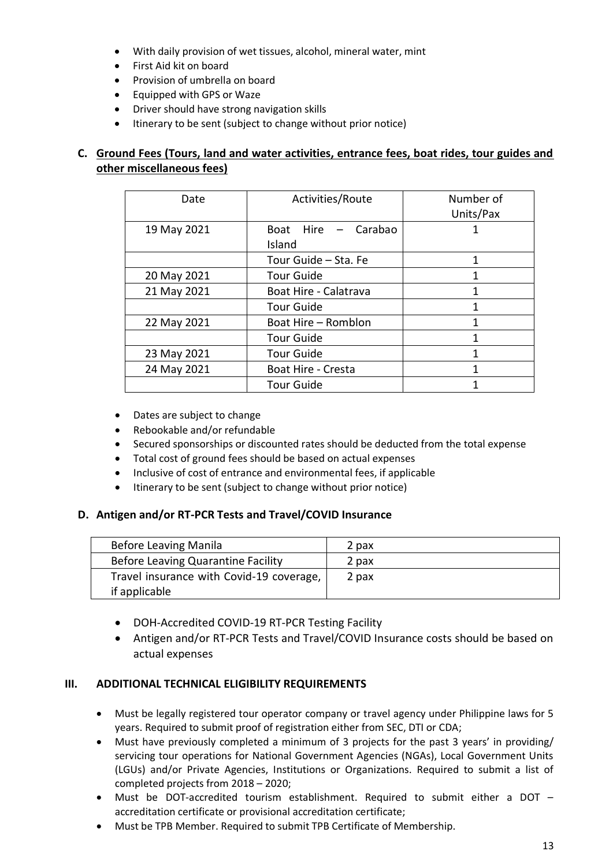- With daily provision of wet tissues, alcohol, mineral water, mint
- First Aid kit on board
- Provision of umbrella on board
- Equipped with GPS or Waze
- Driver should have strong navigation skills
- Itinerary to be sent (subject to change without prior notice)

## **C. Ground Fees (Tours, land and water activities, entrance fees, boat rides, tour guides and other miscellaneous fees)**

| Date        | Activities/Route                        | Number of<br>Units/Pax |
|-------------|-----------------------------------------|------------------------|
| 19 May 2021 | Hire – Carabao<br><b>Boat</b><br>Island |                        |
|             | Tour Guide - Sta. Fe                    | 1                      |
| 20 May 2021 | <b>Tour Guide</b>                       | 1                      |
| 21 May 2021 | Boat Hire - Calatrava                   |                        |
|             | <b>Tour Guide</b>                       | 1                      |
| 22 May 2021 | Boat Hire - Romblon                     | 1                      |
|             | <b>Tour Guide</b>                       |                        |
| 23 May 2021 | <b>Tour Guide</b>                       |                        |
| 24 May 2021 | <b>Boat Hire - Cresta</b>               | 1                      |
|             | <b>Tour Guide</b>                       |                        |

- Dates are subject to change
- Rebookable and/or refundable
- Secured sponsorships or discounted rates should be deducted from the total expense
- Total cost of ground fees should be based on actual expenses
- Inclusive of cost of entrance and environmental fees, if applicable
- Itinerary to be sent (subject to change without prior notice)

## **D. Antigen and/or RT-PCR Tests and Travel/COVID Insurance**

| <b>Before Leaving Manila</b>             | 2 pax |
|------------------------------------------|-------|
| Before Leaving Quarantine Facility       | 2 pax |
| Travel insurance with Covid-19 coverage, | 2 pax |
| if applicable                            |       |

- DOH-Accredited COVID-19 RT-PCR Testing Facility
- Antigen and/or RT-PCR Tests and Travel/COVID Insurance costs should be based on actual expenses

### **III. ADDITIONAL TECHNICAL ELIGIBILITY REQUIREMENTS**

- Must be legally registered tour operator company or travel agency under Philippine laws for 5 years. Required to submit proof of registration either from SEC, DTI or CDA;
- Must have previously completed a minimum of 3 projects for the past 3 years' in providing/ servicing tour operations for National Government Agencies (NGAs), Local Government Units (LGUs) and/or Private Agencies, Institutions or Organizations. Required to submit a list of completed projects from 2018 – 2020;
- Must be DOT-accredited tourism establishment. Required to submit either a DOT accreditation certificate or provisional accreditation certificate;
- Must be TPB Member. Required to submit TPB Certificate of Membership.